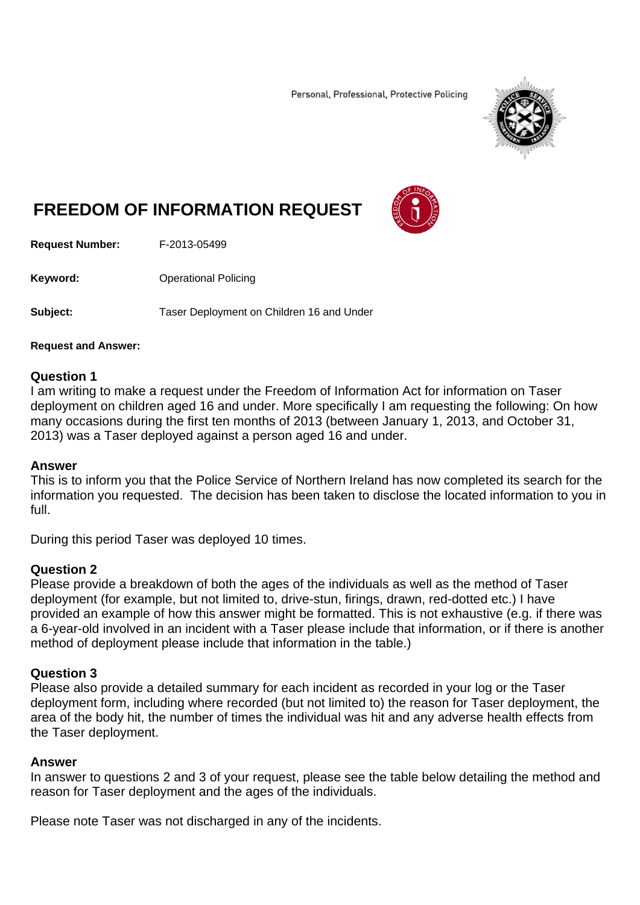Personal, Professional, Protective Policing



# **FREEDOM OF INFORMATION REQUEST**



**Request Number:** F-2013-05499

**Keyword: C**Derational Policing

**Subject:** Taser Deployment on Children 16 and Under

#### **Request and Answer:**

### **Question 1**

I am writing to make a request under the Freedom of Information Act for information on Taser deployment on children aged 16 and under. More specifically I am requesting the following: On how many occasions during the first ten months of 2013 (between January 1, 2013, and October 31, 2013) was a Taser deployed against a person aged 16 and under.

#### **Answer**

This is to inform you that the Police Service of Northern Ireland has now completed its search for the information you requested. The decision has been taken to disclose the located information to you in full.

During this period Taser was deployed 10 times.

## **Question 2**

Please provide a breakdown of both the ages of the individuals as well as the method of Taser deployment (for example, but not limited to, drive-stun, firings, drawn, red-dotted etc.) I have provided an example of how this answer might be formatted. This is not exhaustive (e.g. if there was a 6-year-old involved in an incident with a Taser please include that information, or if there is another method of deployment please include that information in the table.)

## **Question 3**

Please also provide a detailed summary for each incident as recorded in your log or the Taser deployment form, including where recorded (but not limited to) the reason for Taser deployment, the area of the body hit, the number of times the individual was hit and any adverse health effects from the Taser deployment.

## **Answer**

In answer to questions 2 and 3 of your request, please see the table below detailing the method and reason for Taser deployment and the ages of the individuals.

Please note Taser was not discharged in any of the incidents.